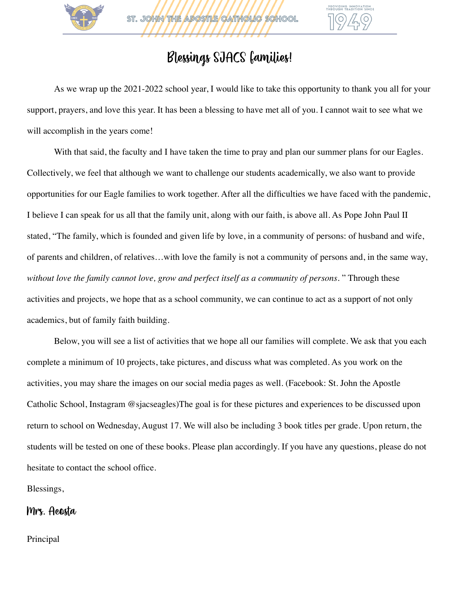

ST. JOHN THE ADOSTLE CATHOLIC SCHOOL

# Blessings SJACS families!

As we wrap up the 2021-2022 school year, I would like to take this opportunity to thank you all for your support, prayers, and love this year. It has been a blessing to have met all of you. I cannot wait to see what we will accomplish in the years come!

With that said, the faculty and I have taken the time to pray and plan our summer plans for our Eagles. Collectively, we feel that although we want to challenge our students academically, we also want to provide opportunities for our Eagle families to work together. After all the difficulties we have faced with the pandemic, I believe I can speak for us all that the family unit, along with our faith, is above all. As Pope John Paul II stated, "The family, which is founded and given life by love, in a community of persons: of husband and wife, of parents and children, of relatives…with love the family is not a community of persons and, in the same way, *without love the family cannot love, grow and perfect itself as a community of persons.* " Through these activities and projects, we hope that as a school community, we can continue to act as a support of not only academics, but of family faith building.

Below, you will see a list of activities that we hope all our families will complete. We ask that you each complete a minimum of 10 projects, take pictures, and discuss what was completed. As you work on the activities, you may share the images on our social media pages as well. (Facebook: St. John the Apostle Catholic School, Instagram @sjacseagles)The goal is for these pictures and experiences to be discussed upon return to school on Wednesday, August 17. We will also be including 3 book titles per grade. Upon return, the students will be tested on one of these books. Please plan accordingly. If you have any questions, please do not hesitate to contact the school office.

Blessings,

#### Mrs. Acosta

Principal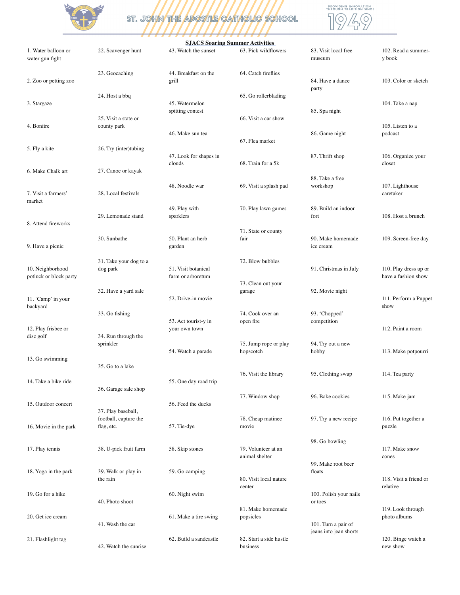

# ST. JOHN THE APOSTLE CATHOLIC SCHOOL



#### **SJACS Soaring Summer Activities**

| 1. Water balloon or<br>water gun fight     | 22. Scavenger hunt                  | 43. Watch the sunset                     | 63. Pick wildflowers                  | 83. Visit local free<br>museum    | 102. Read a summer-<br>y book                |
|--------------------------------------------|-------------------------------------|------------------------------------------|---------------------------------------|-----------------------------------|----------------------------------------------|
| 2. Zoo or petting zoo                      | 23. Geocaching                      | 44. Breakfast on the<br>grill            | 64. Catch fireflies                   | 84. Have a dance                  | 103. Color or sketch                         |
| 3. Stargaze                                | 24. Host a bbq                      | 45. Watermelon<br>spitting contest       | 65. Go rollerblading                  | party<br>85. Spa night            | 104. Take a nap                              |
| 4. Bonfire                                 | 25. Visit a state or<br>county park | 46. Make sun tea                         | 66. Visit a car show                  | 86. Game night                    | 105. Listen to a<br>podcast                  |
| 5. Fly a kite                              | 26. Try (inter)tubing               | 47. Look for shapes in<br>clouds         | 67. Flea market<br>68. Train for a 5k | 87. Thrift shop                   | 106. Organize your<br>closet                 |
| 6. Make Chalk art                          | 27. Canoe or kayak                  |                                          |                                       | 88. Take a free                   |                                              |
| 7. Visit a farmers'<br>market              | 28. Local festivals                 | 48. Noodle war                           | 69. Visit a splash pad                | workshop                          | 107. Lighthouse<br>caretaker                 |
| 8. Attend fireworks                        | 29. Lemonade stand                  | 49. Play with<br>sparklers               | 70. Play lawn games                   | 89. Build an indoor<br>fort       | 108. Host a brunch                           |
| 9. Have a picnic                           | 30. Sunbathe                        | 50. Plant an herb<br>garden              | 71. State or county<br>fair           | 90. Make homemade<br>ice cream    | 109. Screen-free day                         |
| 10. Neighborhood<br>potluck or block party | 31. Take your dog to a<br>dog park  | 51. Visit botanical<br>farm or arboretum | 72. Blow bubbles                      | 91. Christmas in July             | 110. Play dress up or<br>have a fashion show |
| 11. 'Camp' in your<br>backyard             | 32. Have a yard sale                | 52. Drive-in movie                       | 73. Clean out your<br>garage          | 92. Movie night                   | 111. Perform a Puppet<br>show                |
| 12. Play frisbee or                        | 33. Go fishing                      | 53. Act tourist-y in<br>your own town    | 74. Cook over an<br>open fire         | 93. 'Chopped'<br>competition      | 112. Paint a room                            |
| disc golf                                  | 34. Run through the<br>sprinkler    | 54. Watch a parade                       | 75. Jump rope or play<br>hopscotch    | 94. Try out a new<br>hobby        | 113. Make potpourri                          |
| 13. Go swimming                            | 35. Go to a lake                    |                                          | 76. Visit the library                 | 95. Clothing swap                 | 114. Tea party                               |
| 14. Take a bike ride                       | 36. Garage sale shop                | 55. One day road trip                    |                                       |                                   |                                              |
| 15. Outdoor concert                        | 37. Play baseball,                  | 56. Feed the ducks                       | 77. Window shop                       | 96. Bake cookies                  | 115. Make jam                                |
| 16. Movie in the park                      | football, capture the<br>flag, etc. | 57. Tie-dye                              | 78. Cheap matinee<br>movie            | 97. Try a new recipe              | 116. Put together a<br>puzzle                |
| 17. Play tennis                            | 38. U-pick fruit farm               | 58. Skip stones                          | 79. Volunteer at an<br>animal shelter | 98. Go bowling                    | 117. Make snow<br>cones                      |
| 18. Yoga in the park                       | 39. Walk or play in<br>the rain     | 59. Go camping                           | 80. Visit local nature                | 99. Make root beer<br>floats      | 118. Visit a friend or                       |
| 19. Go for a hike                          | 40. Photo shoot                     | 60. Night swim                           | center                                | 100. Polish your nails<br>or toes | relative                                     |
| 20. Get ice cream                          | 41. Wash the car                    | 61. Make a tire swing                    | 81. Make homemade<br>popsicles        | 101. Turn a pair of               | 119. Look through<br>photo albums            |
| 21. Flashlight tag                         | 42. Watch the sunrise               | 62. Build a sandcastle                   | 82. Start a side hustle<br>business   | jeans into jean shorts            | 120. Binge watch a<br>new show               |